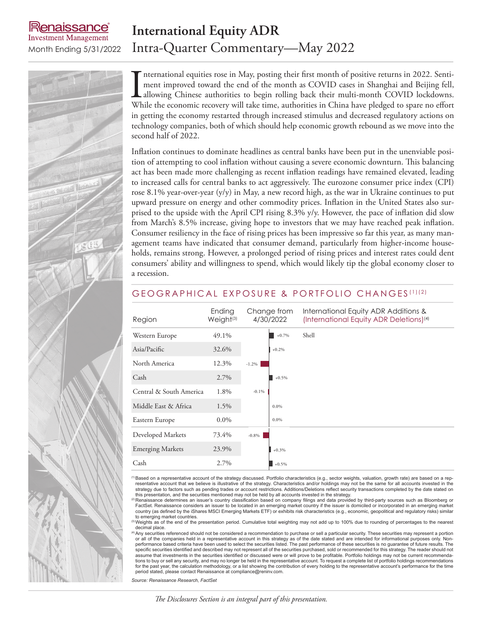# enaissance **Investment Management**

# **International Equity ADR** Month Ending 5/31/2022 Intra-Quarter Commentary—May 2022

International equities rose in May, posting their first month of positive returns in 2022. Sentiment improved toward the end of the month as COVID cases in Shanghai and Beijing fell, allowing Chinese authorities to begin r nternational equities rose in May, posting their first month of positive returns in 2022. Sentiment improved toward the end of the month as COVID cases in Shanghai and Beijing fell, allowing Chinese authorities to begin rolling back their multi-month COVID lockdowns. in getting the economy restarted through increased stimulus and decreased regulatory actions on technology companies, both of which should help economic growth rebound as we move into the second half of 2022.

Inflation continues to dominate headlines as central banks have been put in the unenviable position of attempting to cool inflation without causing a severe economic downturn. This balancing act has been made more challenging as recent inflation readings have remained elevated, leading to increased calls for central banks to act aggressively. The eurozone consumer price index (CPI) rose 8.1% year-over-year (y/y) in May, a new record high, as the war in Ukraine continues to put upward pressure on energy and other commodity prices. Inflation in the United States also surprised to the upside with the April CPI rising 8.3% y/y. However, the pace of inflation did slow from March's 8.5% increase, giving hope to investors that we may have reached peak inflation. Consumer resiliency in the face of rising prices has been impressive so far this year, as many management teams have indicated that consumer demand, particularly from higher-income households, remains strong. However, a prolonged period of rising prices and interest rates could dent consumers' ability and willingness to spend, which would likely tip the global economy closer to a recession.

| Region                  | Ending<br>Weight <sup>(3)</sup> | Change from<br>4/30/2022 | International Equity ADR Additions &<br>(International Equity ADR Deletions) <sup>(4)</sup> |
|-------------------------|---------------------------------|--------------------------|---------------------------------------------------------------------------------------------|
| Western Europe          | 49.1%                           | $+0.7%$                  | Shell                                                                                       |
| Asia/Pacific            | 32.6%                           | $+0.2%$                  |                                                                                             |
| North America           | 12.3%                           | $-1.2%$                  |                                                                                             |
| Cash                    | 2.7%                            | $+0.5%$                  |                                                                                             |
| Central & South America | 1.8%                            | $-0.1\%$                 |                                                                                             |
| Middle East & Africa    | 1.5%                            | $0.0\%$                  |                                                                                             |
| Eastern Europe          | $0.0\%$                         | 0.0%                     |                                                                                             |
| Developed Markets       | 73.4%                           | $-0.8\%$                 |                                                                                             |
| <b>Emerging Markets</b> | 23.9%                           | $+0.3%$                  |                                                                                             |
| Cash                    | 2.7%                            | $+0.5%$                  |                                                                                             |

### GEOGRAPHICAL EXPOSURE & PORTFOLIO CHANGES (1)(2)

<sup>(1)</sup>Based on a representative account of the strategy discussed. Portfolio characteristics (e.g., sector weights, valuation, growth rate) are based on a representative account that we believe is illustrative of the strategy. Characteristics and/or holdings may not be the same for all accounts invested in the strategy due to factors such as pending trades or account restrictions. Additions/Deletions reflect security transactions completed by the date stated on<br>this presentation, and the securities mentioned may not be held by a

<sup>2)</sup> Renaissance determines an issuer's country classification based on company filings and data provided by third-party sources such as Bloomberg or FactSet. Renaissance considers an issuer to be located in an emerging market country if the issuer is domiciled or incorporated in an emerging market<br>country (as defined by the iShares MSCI Emerging Markets ETF) or exhibit to emerging market countries.

Weights as of the end of the presentation period. Cumulative total weighting may not add up to 100% due to rounding of percentages to the nearest decimal place.

<sup>(4)</sup>Any securities referenced should not be considered a recommendation to purchase or sell a particular security. These securities may represent a portion or all of the companies held in a representative account in this strategy as of the date stated and are intended for informational purposes only. Non-<br>performance based criteria have been used to select the securities list specific securities identified and described may not represent all of the securities purchased, sold or recommended for this strategy. The reader should not assume that investments in the securities identified or discussed were or will prove to be profitable. Portfolio holdings may not be current recommendations to buy or sell any security, and may no longer be held in the representative account. To request a complete list of portfolio holdings recommendations for the past year, the calculation methodology, or a list showing the contribution of every holding to the representative account's performance for the time period stated, please contact Renaissance at compliance@reninv.com.

*Source: Renaissance Research, FactSet*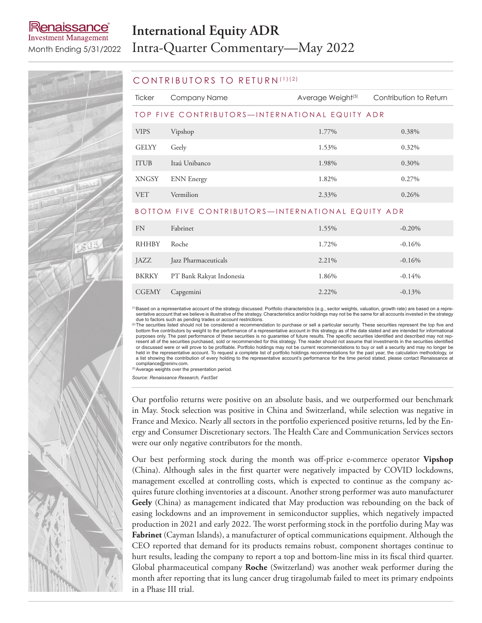# **International Equity ADR**

**Investment Management** 

enaissance

# BKRKY PT Bank Rakyat Indonesia 1.86% 1.86% -0.14%

# Month Ending 5/31/2022 Intra-Quarter Commentary—May 2022

### CONTRIBUTORS TO RETURN (1)(2)

| Ticker                                            | Company Name         | Average Weight <sup>(3)</sup> | Contribution to Return |  |  |  |
|---------------------------------------------------|----------------------|-------------------------------|------------------------|--|--|--|
| TOP FIVE CONTRIBUTORS-INTERNATIONAL EQUITY ADR    |                      |                               |                        |  |  |  |
| <b>VIPS</b>                                       | Vipshop              | 1.77%                         | 0.38%                  |  |  |  |
| <b>GELYY</b>                                      | Geely                | 1.53%                         | 0.32%                  |  |  |  |
| <b>ITUB</b>                                       | Itaú Unibanco        | 1.98%                         | 0.30%                  |  |  |  |
| <b>XNGSY</b>                                      | <b>ENN</b> Energy    | 1.82%                         | 0.27%                  |  |  |  |
| <b>VET</b>                                        | Vermilion            | 2.33%                         | 0.26%                  |  |  |  |
| BOTTOM FIVE CONTRIBUTORS—INTERNATIONAL EQUITY ADR |                      |                               |                        |  |  |  |
| <b>FN</b>                                         | Fabrinet             | 1.55%                         | $-0.20\%$              |  |  |  |
| <b>RHHBY</b>                                      | Roche                | 1.72%                         | $-0.16%$               |  |  |  |
| JAZZ                                              | Jazz Pharmaceuticals | 2.21%                         | $-0.16%$               |  |  |  |

CGEMY Capgemini 2.22% -0.13%

<sup>(1)</sup>Based on a representative account of the strategy discussed. Portfolio characteristics (e.g., sector weights, valuation, growth rate) are based on a repre-<br>sentative account that we believe is illustrative of the stra

due to factors such as pending trades or account restrictions.<br><sup>(2)</sup>The securities listed should not be considered a recommendation to purchase or sell a particular security. These securities represent the top five and<br>bot resent all of the securities purchased, sold or recommended for this strategy. The reader should not assume that investments in the securities identified<br>or discussed were or will prove to be profitable. Portfolio holdings held in the representative account. To request a complete list of portfolio holdings recommendations for the past year, the calculation methodology, or a list showing the contribution of every holding to the representative account's performance for the time period stated, please contact Renaissance at compliance@reninv.com.

(3)Average weights over the presentation period.

*Source: Renaissance Research, FactSet*

Our portfolio returns were positive on an absolute basis, and we outperformed our benchmark in May. Stock selection was positive in China and Switzerland, while selection was negative in France and Mexico. Nearly all sectors in the portfolio experienced positive returns, led by the Energy and Consumer Discretionary sectors. The Health Care and Communication Services sectors were our only negative contributors for the month.

Our best performing stock during the month was off-price e-commerce operator **Vipshop** (China). Although sales in the first quarter were negatively impacted by COVID lockdowns, management excelled at controlling costs, which is expected to continue as the company acquires future clothing inventories at a discount. Another strong performer was auto manufacturer **Geely** (China) as management indicated that May production was rebounding on the back of easing lockdowns and an improvement in semiconductor supplies, which negatively impacted production in 2021 and early 2022. The worst performing stock in the portfolio during May was **Fabrinet** (Cayman Islands), a manufacturer of optical communications equipment. Although the CEO reported that demand for its products remains robust, component shortages continue to hurt results, leading the company to report a top and bottom-line miss in its fiscal third quarter. Global pharmaceutical company **Roche** (Switzerland) was another weak performer during the month after reporting that its lung cancer drug tiragolumab failed to meet its primary endpoints in a Phase III trial.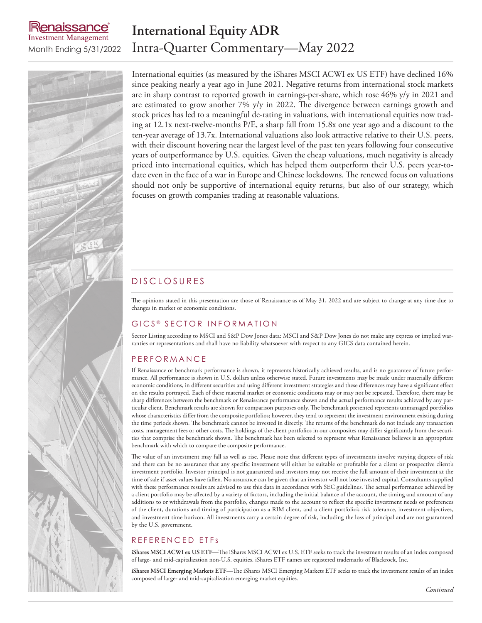# enaissance **Investment Management**

# **International Equity ADR** Month Ending 5/31/2022 Intra-Quarter Commentary—May 2022



International equities (as measured by the iShares MSCI ACWI ex US ETF) have declined 16% since peaking nearly a year ago in June 2021. Negative returns from international stock markets are in sharp contrast to reported growth in earnings-per-share, which rose 46% y/y in 2021 and are estimated to grow another  $7\%$  y/y in 2022. The divergence between earnings growth and stock prices has led to a meaningful de-rating in valuations, with international equities now trading at 12.1x next-twelve-months P/E, a sharp fall from 15.8x one year ago and a discount to the ten-year average of 13.7x. International valuations also look attractive relative to their U.S. peers, with their discount hovering near the largest level of the past ten years following four consecutive years of outperformance by U.S. equities. Given the cheap valuations, much negativity is already priced into international equities, which has helped them outperform their U.S. peers year-todate even in the face of a war in Europe and Chinese lockdowns. The renewed focus on valuations should not only be supportive of international equity returns, but also of our strategy, which focuses on growth companies trading at reasonable valuations.

## D IS CLOSURES

The opinions stated in this presentation are those of Renaissance as of May 31, 2022 and are subject to change at any time due to changes in market or economic conditions.

### GICS<sup>®</sup> SECTOR INFORMATION

Sector Listing according to MSCI and S&P Dow Jones data: MSCI and S&P Dow Jones do not make any express or implied warranties or representations and shall have no liability whatsoever with respect to any GICS data contained herein.

### **PERFORMANCE**

If Renaissance or benchmark performance is shown, it represents historically achieved results, and is no guarantee of future performance. All performance is shown in U.S. dollars unless otherwise stated. Future investments may be made under materially different economic conditions, in different securities and using different investment strategies and these differences may have a significant effect on the results portrayed. Each of these material market or economic conditions may or may not be repeated. Therefore, there may be sharp differences between the benchmark or Renaissance performance shown and the actual performance results achieved by any particular client. Benchmark results are shown for comparison purposes only. The benchmark presented represents unmanaged portfolios whose characteristics differ from the composite portfolios; however, they tend to represent the investment environment existing during the time periods shown. The benchmark cannot be invested in directly. The returns of the benchmark do not include any transaction costs, management fees or other costs. The holdings of the client portfolios in our composites may differ significantly from the securities that comprise the benchmark shown. The benchmark has been selected to represent what Renaissance believes is an appropriate benchmark with which to compare the composite performance.

The value of an investment may fall as well as rise. Please note that different types of investments involve varying degrees of risk and there can be no assurance that any specific investment will either be suitable or profitable for a client or prospective client's investment portfolio. Investor principal is not guaranteed and investors may not receive the full amount of their investment at the time of sale if asset values have fallen. No assurance can be given that an investor will not lose invested capital. Consultants supplied with these performance results are advised to use this data in accordance with SEC guidelines. The actual performance achieved by a client portfolio may be affected by a variety of factors, including the initial balance of the account, the timing and amount of any additions to or withdrawals from the portfolio, changes made to the account to reflect the specific investment needs or preferences of the client, durations and timing of participation as a RIM client, and a client portfolio's risk tolerance, investment objectives, and investment time horizon. All investments carry a certain degree of risk, including the loss of principal and are not guaranteed by the U.S. government.

### REFERENCED ETFS

**iShares MSCI ACWI ex US ETF**—The iShares MSCI ACWI ex U.S. ETF seeks to track the investment results of an index composed of large- and mid-capitalization non-U.S. equities. iShares ETF names are registered trademarks of Blackrock, Inc.

**iShares MSCI Emerging Markets ETF—**The iShares MSCI Emerging Markets ETF seeks to track the investment results of an index composed of large- and mid-capitalization emerging market equities.